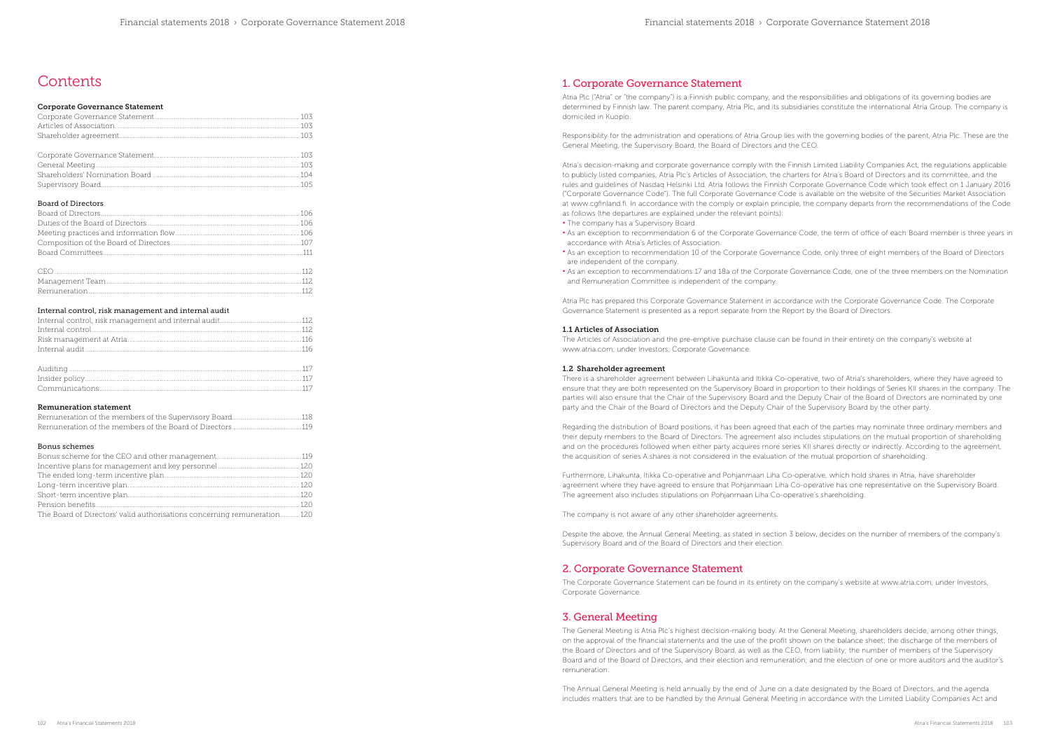# **Contents**

## 1. Corporate Governance Statement

Atria Plc ("Atria" or "the company") is a Finnish public company, and the responsibilities and obligations of its governing bodies are determined by Finnish law. The parent company, Atria Plc, and its subsidiaries constitute the international Atria Group. The company is domiciled in Kuopio.

Responsibility for the administration and operations of Atria Group lies with the governing bodies of the parent, Atria Plc. These are the General Meeting, the Supervisory Board, the Board of Directors and the CEO.

Atria's decision-making and corporate governance comply with the Finnish Limited Liability Companies Act, the regulations applicable to publicly listed companies, Atria Plc's Articles of Association, the charters for Atria's Board of Directors and its committee, and the rules and guidelines of Nasdaq Helsinki Ltd. Atria follows the Finnish Corporate Governance Code which took effect on 1 January 2016 ("Corporate Governance Code"). The full Corporate Governance Code is available on the website of the Securities Market Association at www.cgfinland.fi. In accordance with the comply or explain principle, the company departs from the recommendations of the Code as follows (the departures are explained under the relevant points):

- The company has a Supervisory Board.
- As an exception to recommendation 6 of the Corporate Governance Code, the term of office of each Board member is three years in accordance with Atria's Articles of Association.
- As an exception to recommendation 10 of the Corporate Governance Code, only three of eight members of the Board of Directors are independent of the company.
- As an exception to recommendations 17 and 18a of the Corporate Governance Code, one of the three members on the Nomination and Remuneration Committee is independent of the company.

Atria Plc has prepared this Corporate Governance Statement in accordance with the Corporate Governance Code. The Corporate Governance Statement is presented as a report separate from the Report by the Board of Directors.

## 1.1 Articles of Association

The Articles of Association and the pre-emptive purchase clause can be found in their entirety on the company's website at www.atria.com, under Investors, Corporate Governance.

#### 1.2 Shareholder agreement

There is a shareholder agreement between Lihakunta and Itikka Co-operative, two of Atria's shareholders, where they have agreed to ensure that they are both represented on the Supervisory Board in proportion to their holdings of Series KII shares in the company. The parties will also ensure that the Chair of the Supervisory Board and the Deputy Chair of the Board of Directors are nominated by one party and the Chair of the Board of Directors and the Deputy Chair of the Supervisory Board by the other party.

Regarding the distribution of Board positions, it has been agreed that each of the parties may nominate three ordinary members and their deputy members to the Board of Directors. The agreement also includes stipulations on the mutual proportion of shareholding and on the procedures followed when either party acquires more series KII shares directly or indirectly. According to the agreement, the acquisition of series A shares is not considered in the evaluation of the mutual proportion of shareholding.

Furthermore, Lihakunta, Itikka Co-operative and Pohjanmaan Liha Co-operative, which hold shares in Atria, have shareholder agreement where they have agreed to ensure that Pohjanmaan Liha Co-operative has one representative on the Supervisory Board. The agreement also includes stipulations on Pohjanmaan Liha Co-operative's shareholding.

The company is not aware of any other shareholder agreements.

Despite the above, the Annual General Meeting, as stated in section 3 below, decides on the number of members of the company's Supervisory Board and of the Board of Directors and their election.

## 2. Corporate Governance Statement

| The Board of Directors' valid authorisations concerning remuneration 120 |  |
|--------------------------------------------------------------------------|--|

The Corporate Governance Statement can be found in its entirety on the company's website at www.atria.com, under Investors, Corporate Governance.

## 3. General Meeting

The General Meeting is Atria Plc's highest decision-making body. At the General Meeting, shareholders decide, among other things, on the approval of the financial statements and the use of the profit shown on the balance sheet; the discharge of the members of the Board of Directors and of the Supervisory Board, as well as the CEO, from liability; the number of members of the Supervisory Board and of the Board of Directors, and their election and remuneration; and the election of one or more auditors and the auditor's remuneration.

The Annual General Meeting is held annually by the end of June on a date designated by the Board of Directors, and the agenda includes matters that are to be handled by the Annual General Meeting in accordance with the Limited Liability Companies Act and

| <b>Corporate Governance Statement</b> |  |
|---------------------------------------|--|
|                                       |  |
|                                       |  |
|                                       |  |
|                                       |  |
|                                       |  |
|                                       |  |
|                                       |  |

Supervisory Board................................................................................................................ 105

## Board of Directors

Remuneration........................................................................................................................112

## Internal control, risk management and internal audit

### Remuneration statement

### Bonus schemes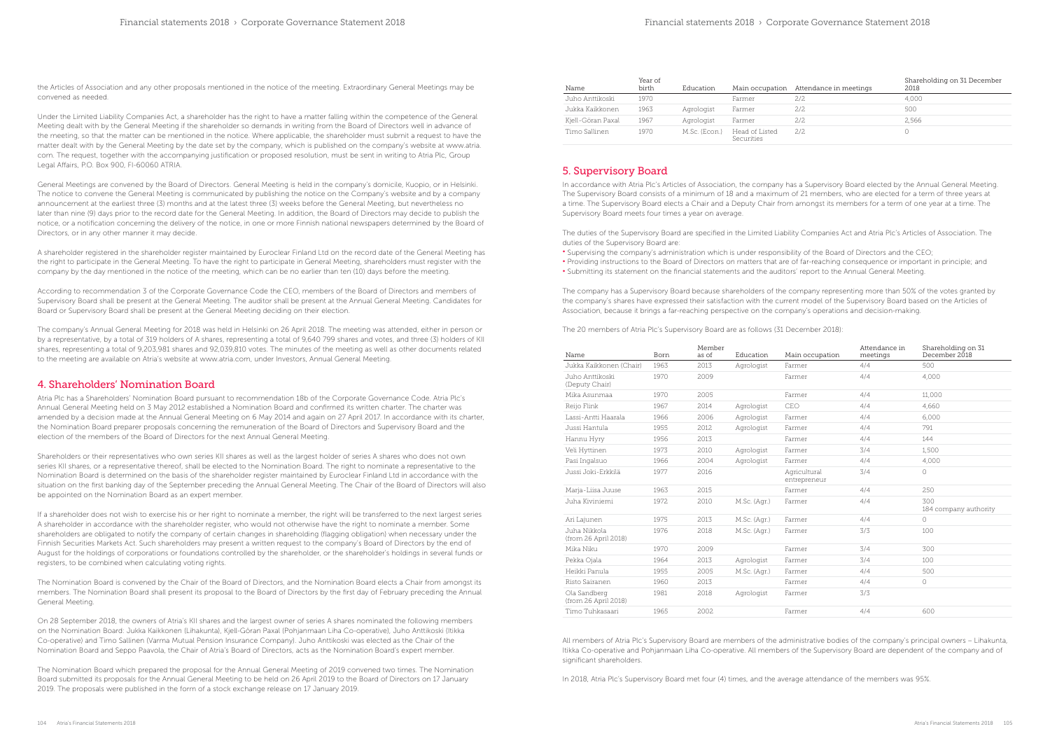| Name              | Year of<br>birth | Education     |                              | Main occupation Attendance in meetings | Shareholding on 31 December<br>2018 |
|-------------------|------------------|---------------|------------------------------|----------------------------------------|-------------------------------------|
| Juho Anttikoski   | 1970             |               | Farmer                       | 2/2                                    | 4.000                               |
| Jukka Kaikkonen   | 1963             | Agrologist    | Farmer                       | 2/2                                    | 500                                 |
| Kjell-Göran Paxal | 1967             | Agrologist    | Farmer                       | 2/2                                    | 2.566                               |
| Timo Sallinen.    | 1970             | M.Sc. (Econ.) | Head of Listed<br>Securities | 2.12.                                  |                                     |

## 5. Supervisory Board

In accordance with Atria Plc's Articles of Association, the company has a Supervisory Board elected by the Annual General Meeting. The Supervisory Board consists of a minimum of 18 and a maximum of 21 members, who are elected for a term of three years at a time. The Supervisory Board elects a Chair and a Deputy Chair from amongst its members for a term of one year at a time. The Supervisory Board meets four times a year on average.

The duties of the Supervisory Board are specified in the Limited Liability Companies Act and Atria Plc's Articles of Association. The duties of the Supervisory Board are:

• Supervising the company's administration which is under responsibility of the Board of Directors and the CEO; • Providing instructions to the Board of Directors on matters that are of far-reaching consequence or important in principle; and

• Submitting its statement on the financial statements and the auditors' report to the Annual General Meeting.

ain occupation Attendance in meetings Shareholding on 31 December 2018 1970 2009 Farmer 4/4 4,000 htrepreneur 3/4 0 184 company authority 1976 2018 M.Sc. (Agr.) Farmer 3/3 100

The company has a Supervisory Board because shareholders of the company representing more than 50% of the votes granted by the company's shares have expressed their satisfaction with the current model of the Supervisory Board based on the Articles of Association, because it brings a far-reaching perspective on the company's operations and decision-making.

The 20 members of Atria Plc's Supervisory Board are as follows (31 December 2018):

| Name                                  | Born | Member<br>as of | Education    | Main occupation              | Attendance in<br>meetings | Sharel<br>Decer |
|---------------------------------------|------|-----------------|--------------|------------------------------|---------------------------|-----------------|
| Jukka Kaikkonen (Chair)               | 1963 | 2013            | Agrologist   | Farmer                       | 4/4                       | 500             |
| Juho Anttikoski<br>(Deputy Chair)     | 1970 | 2009            |              | Farmer                       | 4/4                       | 4,000           |
| Mika Asunmaa                          | 1970 | 2005            |              | Farmer                       | 4/4                       | 11,000          |
| Reijo Flink                           | 1967 | 2014            | Agrologist   | CEO                          | 4/4                       | 4,660           |
| Lassi-Antti Haarala                   | 1966 | 2006            | Agrologist   | Farmer                       | 4/4                       | 6,000           |
| Jussi Hantula                         | 1955 | 2012            | Agrologist   | Farmer                       | 4/4                       | 791             |
| Hannu Hyry                            | 1956 | 2013            |              | Farmer                       | 4/4                       | 144             |
| Veli Hyttinen                         | 1973 | 2010            | Agrologist   | Farmer                       | 3/4                       | 1,500           |
| Pasi Ingalsuo                         | 1966 | 2004            | Agrologist   | Farmer                       | 4/4                       | 4,000           |
| Jussi Joki-Erkkilä                    | 1977 | 2016            |              | Agricultural<br>entrepreneur | 3/4                       | $\bigcap$       |
| Marja-Liisa Juuse                     | 1963 | 2015            |              | Farmer                       | 4/4                       | 250             |
| Juha Kiviniemi                        | 1972 | 2010            | M.Sc. (Agr.) | Farmer                       | 4/4                       | 300<br>184 co   |
| Ari Lajunen                           | 1975 | 2013            | M.Sc. (Agr.) | Farmer                       | 4/4                       | $\bigcirc$      |
| Juha Nikkola.<br>(from 26 April 2018) | 1976 | 2018            | M.Sc. (Agr.) | Farmer                       | 3/3                       | 100             |
| Mika Niku                             | 1970 | 2009            |              | Farmer                       | 3/4                       | 300             |
| Pekka Ojala                           | 1964 | 2013            | Agrologist   | Farmer                       | 3/4                       | 100             |
| Heikki Panula                         | 1955 | 2005            | M.Sc. (Agr.) | Farmer                       | 4/4                       | 500             |
| Risto Sairanen                        | 1960 | 2013            |              | Farmer                       | 4/4                       | $\bigcirc$      |
| Ola Sandberg<br>(from 26 April 2018)  | 1981 | 2018            | Agrologist   | Farmer                       | 3/3                       |                 |
| Timo Tuhkasaari                       | 1965 | 2002            |              | Farmer                       | 4/4                       | 600             |

All members of Atria Plc's Supervisory Board are members of the administrative bodies of the company's principal owners – Lihakunta, Itikka Co-operative and Pohjanmaan Liha Co-operative. All members of the Supervisory Board are dependent of the company and of significant shareholders.

In 2018, Atria Plc's Supervisory Board met four (4) times, and the average attendance of the members was 95%.

the Articles of Association and any other proposals mentioned in the notice of the meeting. Extraordinary General Meetings may be convened as needed.

Under the Limited Liability Companies Act, a shareholder has the right to have a matter falling within the competence of the General Meeting dealt with by the General Meeting if the shareholder so demands in writing from the Board of Directors well in advance of the meeting, so that the matter can be mentioned in the notice. Where applicable, the shareholder must submit a request to have the matter dealt with by the General Meeting by the date set by the company, which is published on the company's website at www.atria. com. The request, together with the accompanying justification or proposed resolution, must be sent in writing to Atria Plc, Group Legal Affairs, P.O. Box 900, FI-60060 ATRIA.

General Meetings are convened by the Board of Directors. General Meeting is held in the company's domicile, Kuopio, or in Helsinki. The notice to convene the General Meeting is communicated by publishing the notice on the Company's website and by a company announcement at the earliest three (3) months and at the latest three (3) weeks before the General Meeting, but nevertheless no later than nine (9) days prior to the record date for the General Meeting. In addition, the Board of Directors may decide to publish the notice, or a notification concerning the delivery of the notice, in one or more Finnish national newspapers determined by the Board of Directors, or in any other manner it may decide.

A shareholder registered in the shareholder register maintained by Euroclear Finland Ltd on the record date of the General Meeting has the right to participate in the General Meeting. To have the right to participate in General Meeting, shareholders must register with the company by the day mentioned in the notice of the meeting, which can be no earlier than ten (10) days before the meeting.

According to recommendation 3 of the Corporate Governance Code the CEO, members of the Board of Directors and members of Supervisory Board shall be present at the General Meeting. The auditor shall be present at the Annual General Meeting. Candidates for Board or Supervisory Board shall be present at the General Meeting deciding on their election.

The company's Annual General Meeting for 2018 was held in Helsinki on 26 April 2018. The meeting was attended, either in person or by a representative, by a total of 319 holders of A shares, representing a total of 9,640 799 shares and votes, and three (3) holders of KII shares, representing a total of 9,203,981 shares and 92,039,810 votes. The minutes of the meeting as well as other documents related to the meeting are available on Atria's website at www.atria.com, under Investors, Annual General Meeting.

## 4. Shareholders' Nomination Board

Atria Plc has a Shareholders' Nomination Board pursuant to recommendation 18b of the Corporate Governance Code. Atria Plc's Annual General Meeting held on 3 May 2012 established a Nomination Board and confirmed its written charter. The charter was amended by a decision made at the Annual General Meeting on 6 May 2014 and again on 27 April 2017. In accordance with its charter, the Nomination Board preparer proposals concerning the remuneration of the Board of Directors and Supervisory Board and the election of the members of the Board of Directors for the next Annual General Meeting.

Shareholders or their representatives who own series KII shares as well as the largest holder of series A shares who does not own series KII shares, or a representative thereof, shall be elected to the Nomination Board. The right to nominate a representative to the Nomination Board is determined on the basis of the shareholder register maintained by Euroclear Finland Ltd in accordance with the situation on the first banking day of the September preceding the Annual General Meeting. The Chair of the Board of Directors will also be appointed on the Nomination Board as an expert member.

If a shareholder does not wish to exercise his or her right to nominate a member, the right will be transferred to the next largest series A shareholder in accordance with the shareholder register, who would not otherwise have the right to nominate a member. Some shareholders are obligated to notify the company of certain changes in shareholding (flagging obligation) when necessary under the Finnish Securities Markets Act. Such shareholders may present a written request to the company's Board of Directors by the end of August for the holdings of corporations or foundations controlled by the shareholder, or the shareholder's holdings in several funds or registers, to be combined when calculating voting rights.

The Nomination Board is convened by the Chair of the Board of Directors, and the Nomination Board elects a Chair from amongst its members. The Nomination Board shall present its proposal to the Board of Directors by the first day of February preceding the Annual General Meeting.

On 28 September 2018, the owners of Atria's KII shares and the largest owner of series A shares nominated the following members on the Nomination Board: Jukka Kaikkonen (Lihakunta), Kjell-Göran Paxal (Pohjanmaan Liha Co-operative), Juho Anttikoski (Itikka Co-operative) and Timo Sallinen (Varma Mutual Pension Insurance Company). Juho Anttikoski was elected as the Chair of the Nomination Board and Seppo Paavola, the Chair of Atria's Board of Directors, acts as the Nomination Board's expert member.

The Nomination Board which prepared the proposal for the Annual General Meeting of 2019 convened two times. The Nomination Board submitted its proposals for the Annual General Meeting to be held on 26 April 2019 to the Board of Directors on 17 January 2019. The proposals were published in the form of a stock exchange release on 17 January 2019.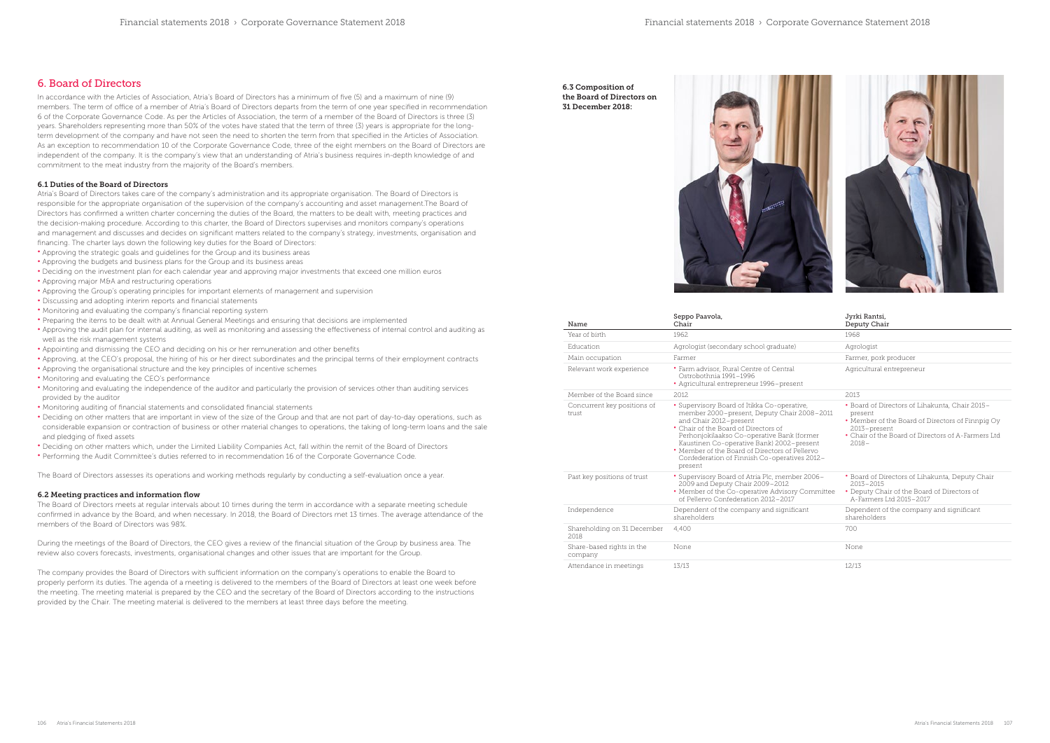## 6. Board of Directors

In accordance with the Articles of Association, Atria's Board of Directors has a minimum of five (5) and a maximum of nine (9) members. The term of office of a member of Atria's Board of Directors departs from the term of one year specified in recommendation 6 of the Corporate Governance Code. As per the Articles of Association, the term of a member of the Board of Directors is three (3) years. Shareholders representing more than 50% of the votes have stated that the term of three (3) years is appropriate for the longterm development of the company and have not seen the need to shorten the term from that specified in the Articles of Association. As an exception to recommendation 10 of the Corporate Governance Code, three of the eight members on the Board of Directors are independent of the company. It is the company's view that an understanding of Atria's business requires in-depth knowledge of and commitment to the meat industry from the majority of the Board's members.

### 6.1 Duties of the Board of Directors

Atria's Board of Directors takes care of the company's administration and its appropriate organisation. The Board of Directors is responsible for the appropriate organisation of the supervision of the company's accounting and asset management.The Board of Directors has confirmed a written charter concerning the duties of the Board, the matters to be dealt with, meeting practices and the decision-making procedure. According to this charter, the Board of Directors supervises and monitors company's operations and management and discusses and decides on significant matters related to the company's strategy, investments, organisation and financing. The charter lays down the following key duties for the Board of Directors:

- Approving the strategic goals and guidelines for the Group and its business areas
- Approving the budgets and business plans for the Group and its business areas
- Deciding on the investment plan for each calendar year and approving major investments that exceed one million euros
- Approving major M&A and restructuring operations
- Approving the Group's operating principles for important elements of management and supervision
- Discussing and adopting interim reports and financial statements
- Monitoring and evaluating the company's financial reporting system
- Preparing the items to be dealt with at Annual General Meetings and ensuring that decisions are implemented
- Approving the audit plan for internal auditing, as well as monitoring and assessing the effectiveness of internal control and auditing as well as the risk management systems
- Appointing and dismissing the CEO and deciding on his or her remuneration and other benefits
- Approving, at the CEO's proposal, the hiring of his or her direct subordinates and the principal terms of their employment contracts
- Approving the organisational structure and the key principles of incentive schemes
- Monitoring and evaluating the CEO's performance
- Monitoring and evaluating the independence of the auditor and particularly the provision of services other than auditing services provided by the auditor
- Monitoring auditing of financial statements and consolidated financial statements
- Deciding on other matters that are important in view of the size of the Group and that are not part of day-to-day operations, such as considerable expansion or contraction of business or other material changes to operations, the taking of long-term loans and the sale and pledging of fixed assets
- Deciding on other matters which, under the Limited Liability Companies Act, fall within the remit of the Board of Directors
- Performing the Audit Committee's duties referred to in recommendation 16 of the Corporate Governance Code.

The Board of Directors assesses its operations and working methods regularly by conducting a self-evaluation once a year.

### 6.2 Meeting practices and information flow

The Board of Directors meets at regular intervals about 10 times during the term in accordance with a separate meeting schedule confirmed in advance by the Board, and when necessary. In 2018, the Board of Directors met 13 times. The average attendance of the members of the Board of Directors was 98%.

During the meetings of the Board of Directors, the CEO gives a review of the financial situation of the Group by business area. The review also covers forecasts, investments, organisational changes and other issues that are important for the Group.

The company provides the Board of Directors with sufficient information on the company's operations to enable the Board to properly perform its duties. The agenda of a meeting is delivered to the members of the Board of Directors at least one week before the meeting. The meeting material is prepared by the CEO and the secretary of the Board of Directors according to the instructions provided by the Chair. The meeting material is delivered to the members at least three days before the meeting.

| Name                                 | Seppo Paavola,<br>Chair                                                                                                                                                                                                                                                                                                                                              | Jyrki Rantsi,<br>Deputy Chair                                                                                                                                                                   |
|--------------------------------------|----------------------------------------------------------------------------------------------------------------------------------------------------------------------------------------------------------------------------------------------------------------------------------------------------------------------------------------------------------------------|-------------------------------------------------------------------------------------------------------------------------------------------------------------------------------------------------|
| Year of birth                        | 1962.                                                                                                                                                                                                                                                                                                                                                                | 1968                                                                                                                                                                                            |
| Education                            | Agrologist (secondary school graduate)                                                                                                                                                                                                                                                                                                                               | Agrologist                                                                                                                                                                                      |
| Main occupation                      | Farmer                                                                                                                                                                                                                                                                                                                                                               | Farmer, pork producer                                                                                                                                                                           |
| Relevant work experience             | • Farm advisor, Rural Centre of Central<br>Ostrobothnia 1991-1996<br>• Agricultural entrepreneur 1996-present                                                                                                                                                                                                                                                        | Agricultural entrepreneur                                                                                                                                                                       |
| Member of the Board since            | 2012                                                                                                                                                                                                                                                                                                                                                                 | 2013                                                                                                                                                                                            |
| Concurrent key positions of<br>trust | • Supervisory Board of Itikka Co-operative,<br>member 2000-present, Deputy Chair 2008-2011<br>and Chair 2012-present<br>• Chair of the Board of Directors of<br>Perhonjokilaakso Co-operative Bank (former<br>Kaustinen Co-operative Bank) 2002-present<br>• Member of the Board of Directors of Pellervo<br>Confederation of Finnish Co-operatives 2012-<br>present | • Board of Directors of Lihakunta, Chair 2015-<br>present<br>• Member of the Board of Directors of Finnpig Oy<br>2013-present<br>• Chair of the Board of Directors of A-Farmers Ltd<br>$2018 -$ |
| Past key positions of trust          | • Supervisory Board of Atria Plc, member 2006-<br>2009 and Deputy Chair 2009-2012<br>• Member of the Co-operative Advisory Committee<br>of Pellervo Confederation 2012-2017                                                                                                                                                                                          | • Board of Directors of Lihakunta, Deputy Chair<br>$2.013 - 2.015$<br>• Deputy Chair of the Board of Directors of<br>A-Farmers Ltd 2015-2017                                                    |
| Independence                         | Dependent of the company and significant<br>shareholders                                                                                                                                                                                                                                                                                                             | Dependent of the company and significant<br>shareholders                                                                                                                                        |
| Shareholding on 31 December<br>2018  | 4,400                                                                                                                                                                                                                                                                                                                                                                | 700                                                                                                                                                                                             |
| Share-based rights in the<br>company | None                                                                                                                                                                                                                                                                                                                                                                 | None                                                                                                                                                                                            |
| Attendance in meetings               | 13/13                                                                                                                                                                                                                                                                                                                                                                | 12/13                                                                                                                                                                                           |

6.3 Composition of the Board of Directors on 31 December 2018:



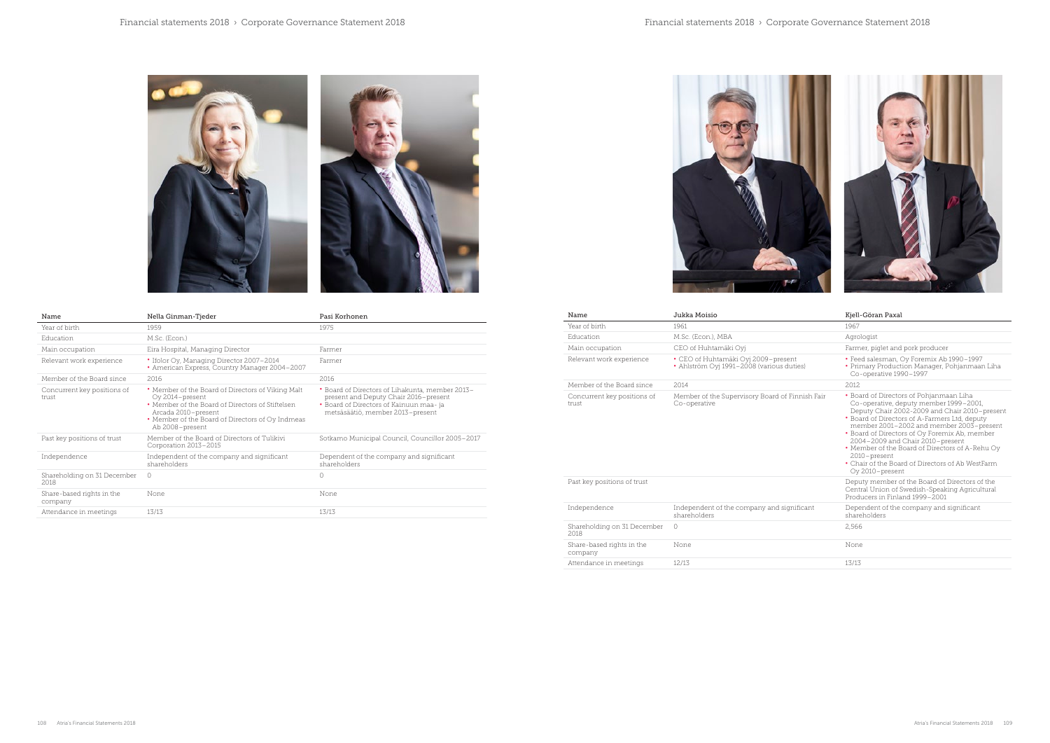| Name                                 | Jukka Moisio                                                                     | Kjell-Göran Paxal                                                                                                                                                                                                                                                                                                                                                                                                                                              |
|--------------------------------------|----------------------------------------------------------------------------------|----------------------------------------------------------------------------------------------------------------------------------------------------------------------------------------------------------------------------------------------------------------------------------------------------------------------------------------------------------------------------------------------------------------------------------------------------------------|
| Year of birth                        | 1961                                                                             | 1967                                                                                                                                                                                                                                                                                                                                                                                                                                                           |
| Education                            | M.Sc. (Econ.), MBA                                                               | Agrologist                                                                                                                                                                                                                                                                                                                                                                                                                                                     |
| Main occupation                      | CEO of Huhtamäki Oyi                                                             | Farmer, piglet and pork producer                                                                                                                                                                                                                                                                                                                                                                                                                               |
| Relevant work experience             | • CEO of Huhtamäki Oyj 2009-present<br>• Ahlström Oyi 1991-2008 (various duties) | • Feed salesman, Oy Foremix Ab 1990-1997<br>• Primary Production Manager, Pohjanmaan Liha<br>Co-operative 1990-1997                                                                                                                                                                                                                                                                                                                                            |
| Member of the Board since            | 2014                                                                             | 2012                                                                                                                                                                                                                                                                                                                                                                                                                                                           |
| Concurrent key positions of<br>trust | Member of the Supervisory Board of Finnish Fair<br>Co-operative                  | • Board of Directors of Pohjanmaan Liha<br>Co-operative, deputy member 1999-2001,<br>Deputy Chair 2002-2009 and Chair 2010-present<br>• Board of Directors of A-Farmers Ltd, deputy<br>member 2001-2002 and member 2003-present<br>• Board of Directors of Oy Foremix Ab, member<br>2004-2009 and Chair 2010-present<br>• Member of the Board of Directors of A-Rehu Oy<br>2010-present<br>• Chair of the Board of Directors of Ab WestFarm<br>Oy 2010-present |
| Past key positions of trust          |                                                                                  | Deputy member of the Board of Directors of the<br>Central Union of Swedish-Speaking Agricultural<br>Producers in Finland 1999-2001                                                                                                                                                                                                                                                                                                                             |
| Independence                         | Independent of the company and significant<br>shareholders                       | Dependent of the company and significant<br>shareholders                                                                                                                                                                                                                                                                                                                                                                                                       |
| Shareholding on 31 December<br>2018  | 0                                                                                | 2,566                                                                                                                                                                                                                                                                                                                                                                                                                                                          |
| Share-based rights in the<br>company | None                                                                             | None                                                                                                                                                                                                                                                                                                                                                                                                                                                           |
| $\Lambda$ than domain in montings    | 17/17                                                                            | 17/17                                                                                                                                                                                                                                                                                                                                                                                                                                                          |

| Name                                 | JUKKA MOISIO                                                                     | Riell-Goran Paxal                                                                                                                                                                                                                                                                                                                                                                                                                                              |
|--------------------------------------|----------------------------------------------------------------------------------|----------------------------------------------------------------------------------------------------------------------------------------------------------------------------------------------------------------------------------------------------------------------------------------------------------------------------------------------------------------------------------------------------------------------------------------------------------------|
| Year of birth                        | 1961                                                                             | 1967                                                                                                                                                                                                                                                                                                                                                                                                                                                           |
| Education                            | M.Sc. (Econ.), MBA                                                               | Agrologist                                                                                                                                                                                                                                                                                                                                                                                                                                                     |
| Main occupation                      | CEO of Huhtamäki Oyi                                                             | Farmer, piglet and pork producer                                                                                                                                                                                                                                                                                                                                                                                                                               |
| Relevant work experience             | • CEO of Huhtamäki Oyj 2009-present<br>• Ahlström Oyi 1991-2008 (various duties) | • Feed salesman, Oy Foremix Ab 1990-1997<br>• Primary Production Manager, Pohjanmaan Liha<br>Co-operative 1990-1997                                                                                                                                                                                                                                                                                                                                            |
| Member of the Board since            | 2014                                                                             | 2012                                                                                                                                                                                                                                                                                                                                                                                                                                                           |
| Concurrent key positions of<br>trust | Member of the Supervisory Board of Finnish Fair<br>Co-operative                  | • Board of Directors of Pohjanmaan Liha<br>Co-operative, deputy member 1999-2001,<br>Deputy Chair 2002-2009 and Chair 2010-present<br>• Board of Directors of A-Farmers Ltd, deputy<br>member 2001-2002 and member 2003-present<br>• Board of Directors of Oy Foremix Ab, member<br>2004-2009 and Chair 2010-present<br>• Member of the Board of Directors of A-Rehu Oy<br>2010-present<br>• Chair of the Board of Directors of Ab WestFarm<br>Oy 2010-present |
| Past key positions of trust          |                                                                                  | Deputy member of the Board of Directors of the<br>Central Union of Swedish-Speaking Agricultural<br>Producers in Finland 1999-2001                                                                                                                                                                                                                                                                                                                             |
| Independence                         | Independent of the company and significant<br>shareholders                       | Dependent of the company and significant<br>shareholders                                                                                                                                                                                                                                                                                                                                                                                                       |
| Shareholding on 31 December<br>2018  | $\circ$                                                                          | 2,566                                                                                                                                                                                                                                                                                                                                                                                                                                                          |
| Share-based rights in the<br>company | None                                                                             | None                                                                                                                                                                                                                                                                                                                                                                                                                                                           |
| Attendance in meetings               | 12/13                                                                            | 13/13                                                                                                                                                                                                                                                                                                                                                                                                                                                          |







| Name                                 | Nella Ginman-Tjeder                                                                                                                                                                                                    | Pasi Korhonen                                                                                                                                                          |
|--------------------------------------|------------------------------------------------------------------------------------------------------------------------------------------------------------------------------------------------------------------------|------------------------------------------------------------------------------------------------------------------------------------------------------------------------|
| Year of birth                        | 1959                                                                                                                                                                                                                   | 1975                                                                                                                                                                   |
| Education                            | M.Sc. (Econ.)                                                                                                                                                                                                          |                                                                                                                                                                        |
| Main occupation                      | Eira Hospital, Managing Director                                                                                                                                                                                       | Farmer                                                                                                                                                                 |
| Relevant work experience             | • Ifolor Oy, Managing Director 2007-2014<br>• American Express, Country Manager 2004-2007                                                                                                                              | Farmer                                                                                                                                                                 |
| Member of the Board since            | 2016                                                                                                                                                                                                                   | 2016                                                                                                                                                                   |
| Concurrent key positions of<br>trust | • Member of the Board of Directors of Viking Malt<br>Oy 2014-present<br>• Member of the Board of Directors of Stiftelsen<br>Arcada 2010-present<br>• Member of the Board of Directors of Oy Indmeas<br>Ab 2008-present | • Board of Directors of Lihakunta, member 2013-<br>present and Deputy Chair 2016-present<br>• Board of Directors of Kainuun maa-ja<br>metsäsäätiö, member 2013-present |
| Past key positions of trust          | Member of the Board of Directors of Tulikivi<br>Corporation 2013-2015                                                                                                                                                  | Sotkamo Municipal Council, Councillor 2005-2017                                                                                                                        |
| Independence                         | Independent of the company and significant<br>shareholders                                                                                                                                                             | Dependent of the company and significant<br>shareholders                                                                                                               |
| Shareholding on 31 December<br>2018  | $\Omega$                                                                                                                                                                                                               | $\Omega$                                                                                                                                                               |
| Share-based rights in the<br>company | None                                                                                                                                                                                                                   | None                                                                                                                                                                   |
| Attendance in meetings               | 13/13                                                                                                                                                                                                                  | 13/13                                                                                                                                                                  |

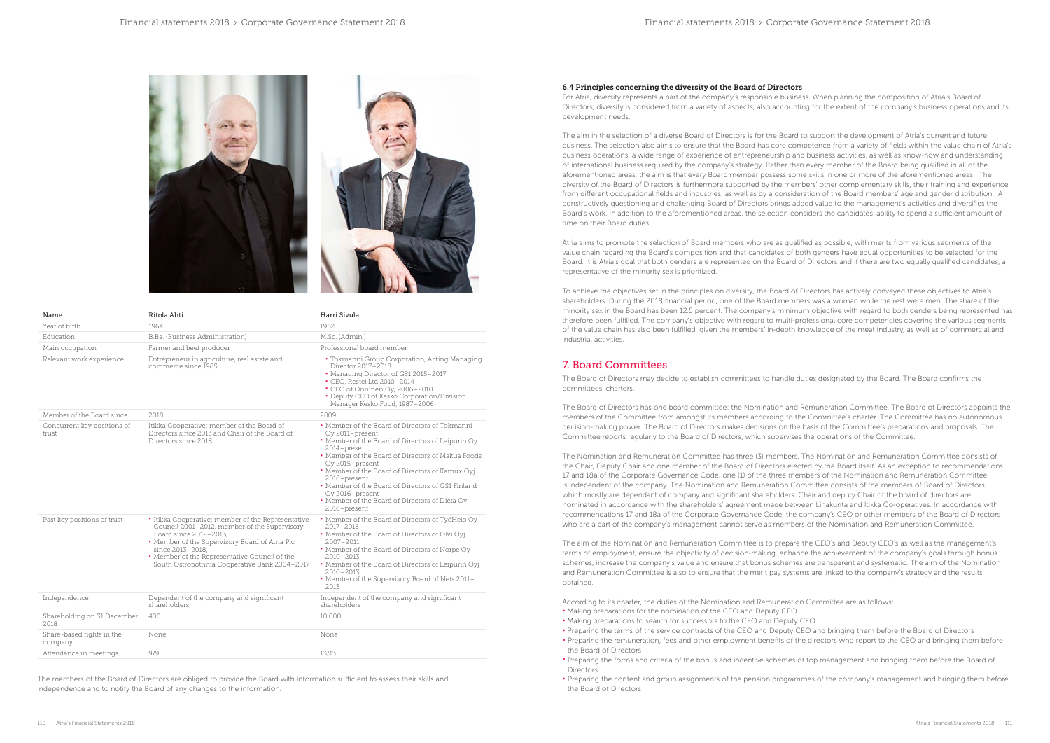



#### 6.4 Principles concerning the diversity of the Board of Directors

For Atria, diversity represents a part of the company's responsible business. When planning the composition of Atria's Board of Directors, diversity is considered from a variety of aspects, also accounting for the extent of the company's business operations and its development needs.

The aim in the selection of a diverse Board of Directors is for the Board to support the development of Atria's current and future business. The selection also aims to ensure that the Board has core competence from a variety of fields within the value chain of Atria's business operations, a wide range of experience of entrepreneurship and business activities, as well as know-how and understanding of international business required by the company's strategy. Rather than every member of the Board being qualified in all of the aforementioned areas, the aim is that every Board member possess some skills in one or more of the aforementioned areas. The diversity of the Board of Directors is furthermore supported by the members' other complementary skills, their training and experience from different occupational fields and industries, as well as by a consideration of the Board members' age and gender distribution. A constructively questioning and challenging Board of Directors brings added value to the management's activities and diversifies the Board's work. In addition to the aforementioned areas, the selection considers the candidates' ability to spend a sufficient amount of time on their Board duties.

Atria aims to promote the selection of Board members who are as qualified as possible, with merits from various segments of the value chain regarding the Board's composition and that candidates of both genders have equal opportunities to be selected for the Board. It is Atria's goal that both genders are represented on the Board of Directors and if there are two equally qualified candidates, a representative of the minority sex is prioritized.

To achieve the objectives set in the principles on diversity, the Board of Directors has actively conveyed these objectives to Atria's shareholders. During the 2018 financial period, one of the Board members was a woman while the rest were men. The share of the minority sex in the Board has been 12.5 percent. The company's minimum objective with regard to both genders being represented has therefore been fulfilled. The company's objective with regard to multi-professional core competencies covering the various segments of the value chain has also been fulfilled, given the members' in-depth knowledge of the meat industry, as well as of commercial and industrial activities.

## 7. Board Committees

The Board of Directors may decide to establish committees to handle duties designated by the Board. The Board confirms the committees' charters.

The Board of Directors has one board committee: the Nomination and Remuneration Committee. The Board of Directors appoints the members of the Committee from amongst its members according to the Committee's charter. The Committee has no autonomous decision-making power. The Board of Directors makes decisions on the basis of the Committee's preparations and proposals. The Committee reports regularly to the Board of Directors, which supervises the operations of the Committee.

The Nomination and Remuneration Committee has three (3) members. The Nomination and Remuneration Committee consists of the Chair, Deputy Chair and one member of the Board of Directors elected by the Board itself. As an exception to recommendations 17 and 18a of the Corporate Governance Code, one (1) of the three members of the Nomination and Remuneration Committee is independent of the company. The Nomination and Remuneration Committee consists of the members of Board of Directors which mostly are dependant of company and significant shareholders. Chair and deputy Chair of the board of directors are nominated in accordance with the shareholders' agreement made between Lihakunta and Itikka Co-operatives. In accordance with recommendations 17 and 18a of the Corporate Governance Code, the company's CEO or other members of the Board of Directors who are a part of the company's management cannot serve as members of the Nomination and Remuneration Committee.

The aim of the Nomination and Remuneration Committee is to prepare the CEO's and Deputy CEO's as well as the management's terms of employment, ensure the objectivity of decision-making, enhance the achievement of the company's goals through bonus schemes, increase the company's value and ensure that bonus schemes are transparent and systematic. The aim of the Nomination and Remuneration Committee is also to ensure that the merit pay systems are linked to the company's strategy and the results obtained.

According to its charter, the duties of the Nomination and Remuneration Committee are as follows:

• Preparing the terms of the service contracts of the CEO and Deputy CEO and bringing them before the Board of Directors • Preparing the remuneration, fees and other employment benefits of the directors who report to the CEO and bringing them before

- Making preparations for the nomination of the CEO and Deputy CEO
- Making preparations to search for successors to the CEO and Deputy CEO
- 
- the Board of Directors
- Directors
- the Board of Directors

• Preparing the forms and criteria of the bonus and incentive schemes of top management and bringing them before the Board of

• Preparing the content and group assignments of the pension programmes of the company's management and bringing them before

| Name                                 | Ritola Ahti                                                                                                                                                                                                                                                                                          | Harri Sivula                                                                                                                                                                                                                                                                                                                                                                                                                |
|--------------------------------------|------------------------------------------------------------------------------------------------------------------------------------------------------------------------------------------------------------------------------------------------------------------------------------------------------|-----------------------------------------------------------------------------------------------------------------------------------------------------------------------------------------------------------------------------------------------------------------------------------------------------------------------------------------------------------------------------------------------------------------------------|
| Year of birth                        | 1964                                                                                                                                                                                                                                                                                                 | 1962.                                                                                                                                                                                                                                                                                                                                                                                                                       |
| Education                            | B.Ba. (Business Administration)                                                                                                                                                                                                                                                                      | M.Sc. (Admin.)                                                                                                                                                                                                                                                                                                                                                                                                              |
| Main occupation                      | Farmer and beef producer                                                                                                                                                                                                                                                                             | Professional board member                                                                                                                                                                                                                                                                                                                                                                                                   |
| Relevant work experience             | Entrepreneur in agriculture, real estate and<br>commerce since 1985                                                                                                                                                                                                                                  | • Tokmanni Group Corporation, Acting Managing<br>Director 2017-2018<br>• Managing Director of GS1 2015-2017<br>• CEO, Restel Ltd 2010-2014<br>• CEO of Onninen Oy, 2006-2010<br>• Deputy CEO of Kesko Corporation/Division<br>Manager Kesko Food, 1987-2006                                                                                                                                                                 |
| Member of the Board since            | 2018                                                                                                                                                                                                                                                                                                 | 2009                                                                                                                                                                                                                                                                                                                                                                                                                        |
| Concurrent key positions of<br>trust | Itikka Cooperative: member of the Board of<br>Directors since 2013 and Chair of the Board of<br>Directors since 2018                                                                                                                                                                                 | • Member of the Board of Directors of Tokmanni<br>Oy 2011-present<br>• Member of the Board of Directors of Leipurin Oy<br>2014-present<br>• Member of the Board of Directors of Makua Foods<br>Oy 2015-present<br>• Member of the Board of Directors of Kamux Oyi<br>2016-present<br>• Member of the Board of Directors of GS1 Finland<br>Ov 2016-present<br>• Member of the Board of Directors of Dieta Oy<br>2016-present |
| Past key positions of trust          | • Itikka Cooperative: member of the Representative<br>Council 2001-2012, member of the Supervisory<br>Board since 2012-2013,<br>• Member of the Supervisory Board of Atria Plc<br>since 2013-2018,<br>• Member of the Representative Council of the<br>South Ostrobothnia Cooperative Bank 2004-2017 | • Member of the Board of Directors of TyöHelo Oy<br>$2017 - 2018$<br>• Member of the Board of Directors of Olvi Oyj<br>2007-2011<br>• Member of the Board of Directors of Norpe Oy<br>2010-2013<br>• Member of the Board of Directors of Leipurin Oyj<br>$2010 - 2013$<br>• Member of the Supervisory Board of Nets 2011-<br>2013                                                                                           |
| Independence                         | Dependent of the company and significant<br>shareholders                                                                                                                                                                                                                                             | Independent of the company and significant<br>shareholders                                                                                                                                                                                                                                                                                                                                                                  |
| Shareholding on 31 December<br>2018  | 400                                                                                                                                                                                                                                                                                                  | 10,000                                                                                                                                                                                                                                                                                                                                                                                                                      |
| Share-based rights in the<br>company | None                                                                                                                                                                                                                                                                                                 | None                                                                                                                                                                                                                                                                                                                                                                                                                        |
| Attendance in meetings               | 9/9                                                                                                                                                                                                                                                                                                  | 13/13                                                                                                                                                                                                                                                                                                                                                                                                                       |

The members of the Board of Directors are obliged to provide the Board with information sufficient to assess their skills and independence and to notify the Board of any changes to the information.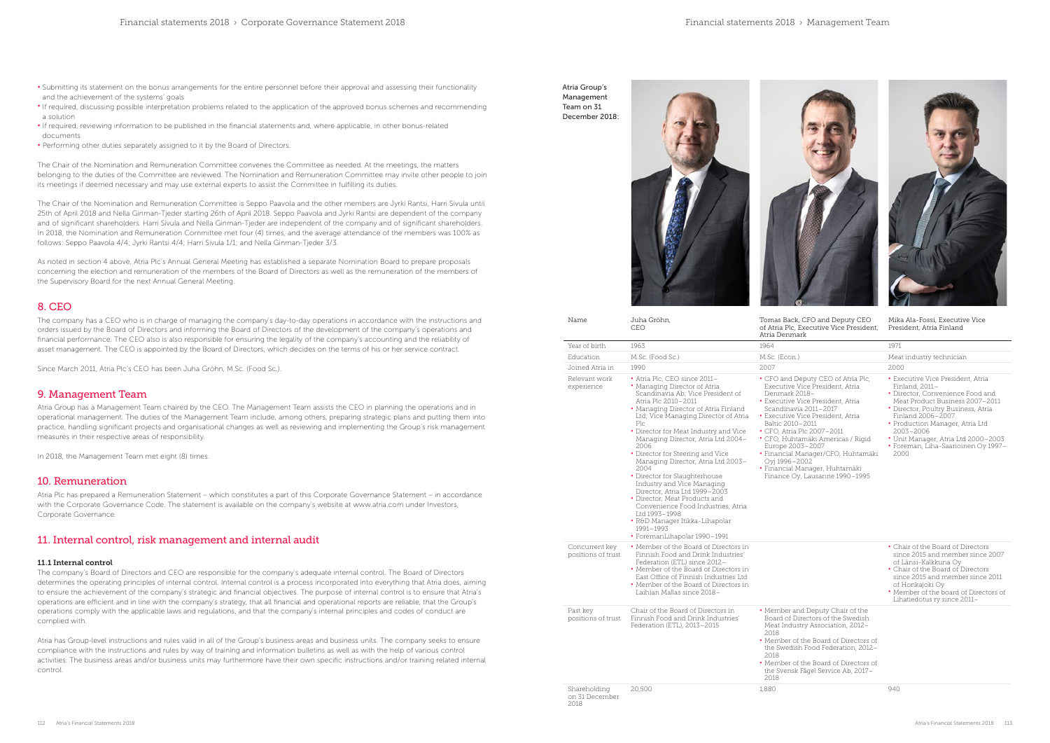Mika Ala-Fossi, Executive Vice President, Atria Finland

Education M.Sc. (Food Sc.) M.Sc. (Econ.) Meat industry technician

| Name                                   | Juha Gröhn,<br>CEO                                                                                                                                                                                                                                                                                                                                                                                                                                                                                                                                                                                                                                              | Tomas Back, CFO and Deputy CEO<br>of Atria Plc, Executive Vice President,<br>Atria Denmark                                                                                                                                                                                                                                                                                                                                      | Mika<br>Presi                                                                                                                     |
|----------------------------------------|-----------------------------------------------------------------------------------------------------------------------------------------------------------------------------------------------------------------------------------------------------------------------------------------------------------------------------------------------------------------------------------------------------------------------------------------------------------------------------------------------------------------------------------------------------------------------------------------------------------------------------------------------------------------|---------------------------------------------------------------------------------------------------------------------------------------------------------------------------------------------------------------------------------------------------------------------------------------------------------------------------------------------------------------------------------------------------------------------------------|-----------------------------------------------------------------------------------------------------------------------------------|
| Year of birth                          | 1963                                                                                                                                                                                                                                                                                                                                                                                                                                                                                                                                                                                                                                                            | 1964                                                                                                                                                                                                                                                                                                                                                                                                                            | 1971                                                                                                                              |
| Education                              | M.Sc. (Food Sc.)                                                                                                                                                                                                                                                                                                                                                                                                                                                                                                                                                                                                                                                | M.Sc. (Econ.)                                                                                                                                                                                                                                                                                                                                                                                                                   | Meat                                                                                                                              |
| Joined Atria in                        | 1990                                                                                                                                                                                                                                                                                                                                                                                                                                                                                                                                                                                                                                                            | 2007                                                                                                                                                                                                                                                                                                                                                                                                                            | 2000                                                                                                                              |
| Relevant work<br>experience            | • Atria Plc, CEO since 2011-<br>• Managing Director of Atria<br>Scandinavia Ab; Vice President of<br>Atria Plc 2010-2011<br>• Managing Director of Atria Finland<br>Ltd; Vice Managing Director of Atria<br>Plc<br>• Director for Meat Industry and Vice<br>Managing Director, Atria Ltd 2004-<br>2006<br>• Director for Steering and Vice<br>Managing Director, Atria Ltd 2003–<br>2004<br>• Director for Slaughterhouse<br>Industry and Vice Managing<br>Director, Atria Ltd 1999–2003<br>• Director, Meat Products and<br>Convenience Food Industries, Atria<br>Ltd 1993-1998<br>• R&D Manager Itikka-Lihapolar<br>1991-1993<br>• ForemanLihapolar 1990-1991 | • CFO and Deputy CEO of Atria Plc,<br>Executive Vice President, Atria<br>Denmark 2018-<br>• Executive Vice President, Atria<br>Scandinavia 2011-2017<br>• Executive Vice President, Atria<br>Baltic 2010-2011<br>• CFO, Atria Plc 2007–2011<br>• CFO, Huhtamäki Americas / Rigid<br>Europe 2003-2007<br>• Financial Manager/CFO, Huhtamäki<br>Oyj 1996–2002<br>· Financial Manager, Huhtamäki<br>Finance Oy, Lausanne 1990-1995 | $\cdot$ Exe<br>Finl<br>$\bullet$ Dire<br>Mea<br>$\bullet$ Dire<br>Finl<br>$\cdot$ Pro<br>20C<br>$\cdot$ Uni<br>$\cdot$ For<br>20C |
| Concurrent key<br>positions of trust   | • Member of the Board of Directors in<br>Finnish Food and Drink Industries'<br>Federation (ETL) since 2012-<br>• Member of the Board of Directors in<br>East Office of Finnish Industries Ltd<br>• Member of the Board of Directors in<br>Laihian Mallas since 2018-                                                                                                                                                                                                                                                                                                                                                                                            |                                                                                                                                                                                                                                                                                                                                                                                                                                 | $\cdot$ Cha<br>sin<br>of I<br>· Cha<br>sin<br>of F<br>$\cdot$ Mei<br>Lih                                                          |
| Past key<br>positions of trust         | Chair of the Board of Directors in<br>Finnish Food and Drink Industries'<br>Federation (ETL), 2013-2015                                                                                                                                                                                                                                                                                                                                                                                                                                                                                                                                                         | • Member and Deputy Chair of the<br>Board of Directors of the Swedish<br>Meat Industry Association, 2012-<br>2018<br>• Member of the Board of Directors of<br>the Swedish Food Federation, 2012-<br>2018<br>• Member of the Board of Directors of<br>the Svensk Fågel Service Ab, 2017–<br>2018                                                                                                                                 |                                                                                                                                   |
| Shareholding<br>on 31 December<br>2018 | 20,500                                                                                                                                                                                                                                                                                                                                                                                                                                                                                                                                                                                                                                                          | 1,880                                                                                                                                                                                                                                                                                                                                                                                                                           | 940                                                                                                                               |

- Executive Vice President, Atria Finland, 2011–
- Director, Convenience Food and Meat Product Business 2007–2011
- Director, Poultry Business, Atria Finland 2006–2007
- Production Manager, Atria Ltd 2003–2006
- Unit Manager, Atria Ltd 2000–2003 • Foreman, Liha-Saarioinen Oy 1997– 2000

- Chair of the Board of Directors since 2015 and member since 2007 of Länsi-Kalkkuna Oy
- Chair of the Board of Directors since 2015 and member since 2011 of Honkajoki Oy
- Member of the board of Directors of Lihatiedotus ry since 2011–

- Submitting its statement on the bonus arrangements for the entire personnel before their approval and assessing their functionality and the achievement of the systems' goals
- If required, discussing possible interpretation problems related to the application of the approved bonus schemes and recommending a solution
- If required, reviewing information to be published in the financial statements and, where applicable, in other bonus-related documents
- Performing other duties separately assigned to it by the Board of Directors.

The Chair of the Nomination and Remuneration Committee convenes the Committee as needed. At the meetings, the matters belonging to the duties of the Committee are reviewed. The Nomination and Remuneration Committee may invite other people to join its meetings if deemed necessary and may use external experts to assist the Committee in fulfilling its duties.

The Chair of the Nomination and Remuneration Committee is Seppo Paavola and the other members are Jyrki Rantsi, Harri Sivula until 25th of April 2018 and Nella Ginman-Tjeder starting 26th of April 2018. Seppo Paavola and Jyrki Rantsi are dependent of the company and of significant shareholders. Harri Sivula and Nella Ginman-Tjeder are independent of the company and of significant shareholders. In 2018, the Nomination and Remuneration Committee met four (4) times, and the average attendance of the members was 100% as follows: Seppo Paavola 4/4; Jyrki Rantsi 4/4; Harri Sivula 1/1; and Nella Ginman-Tjeder 3/3.

As noted in section 4 above, Atria Plc's Annual General Meeting has established a separate Nomination Board to prepare proposals concerning the election and remuneration of the members of the Board of Directors as well as the remuneration of the members of the Supervisory Board for the next Annual General Meeting.

## 8. CEO

The company has a CEO who is in charge of managing the company's day-to-day operations in accordance with the instructions and orders issued by the Board of Directors and informing the Board of Directors of the development of the company's operations and financial performance. The CEO also is also responsible for ensuring the legality of the company's accounting and the reliability of asset management. The CEO is appointed by the Board of Directors, which decides on the terms of his or her service contract.

Since March 2011, Atria Plc's CEO has been Juha Gröhn, M.Sc. (Food Sc.).

## 9. Management Team

Atria Group has a Management Team chaired by the CEO. The Management Team assists the CEO in planning the operations and in operational management. The duties of the Management Team include, among others, preparing strategic plans and putting them into practice, handling significant projects and organisational changes as well as reviewing and implementing the Group's risk management measures in their respective areas of responsibility.

In 2018, the Management Team met eight (8) times.

## 10. Remuneration

Atria Plc has prepared a Remuneration Statement – which constitutes a part of this Corporate Governance Statement – in accordance with the Corporate Governance Code. The statement is available on the company's website at www.atria.com under Investors, Corporate Governance.

## 11. Internal control, risk management and internal audit

### 11.1 Internal control

The company's Board of Directors and CEO are responsible for the company's adequate internal control. The Board of Directors determines the operating principles of internal control. Internal control is a process incorporated into everything that Atria does, aiming to ensure the achievement of the company's strategic and financial objectives. The purpose of internal control is to ensure that Atria's operations are efficient and in line with the company's strategy, that all financial and operational reports are reliable, that the Group's operations comply with the applicable laws and regulations, and that the company's internal principles and codes of conduct are complied with.

Atria has Group-level instructions and rules valid in all of the Group's business areas and business units. The company seeks to ensure compliance with the instructions and rules by way of training and information bulletins as well as with the help of various control activities. The business areas and/or business units may furthermore have their own specific instructions and/or training related internal control.

Atria Group's Management Team on 31 December 2018:





ack, CFO and Deputy CEO lc. Executive Vice President, mark

- Deputy CEO of Atria Plc, re Vice President, Atria  $k$  2018–
- e<br>Vice President, Atria
- avia 2011–2017 re Vice President, Atria
- $0 2011$
- CFO, Atria Plc 2007–2011
- CFO, Huhtamäki Americas / Rigid
- Europe 2003–2007 al Manager/CFO, Huhtamäki  $-2002$
- Financial Manager, Huhtamäki
- Oy, Lausanne 1990–1995

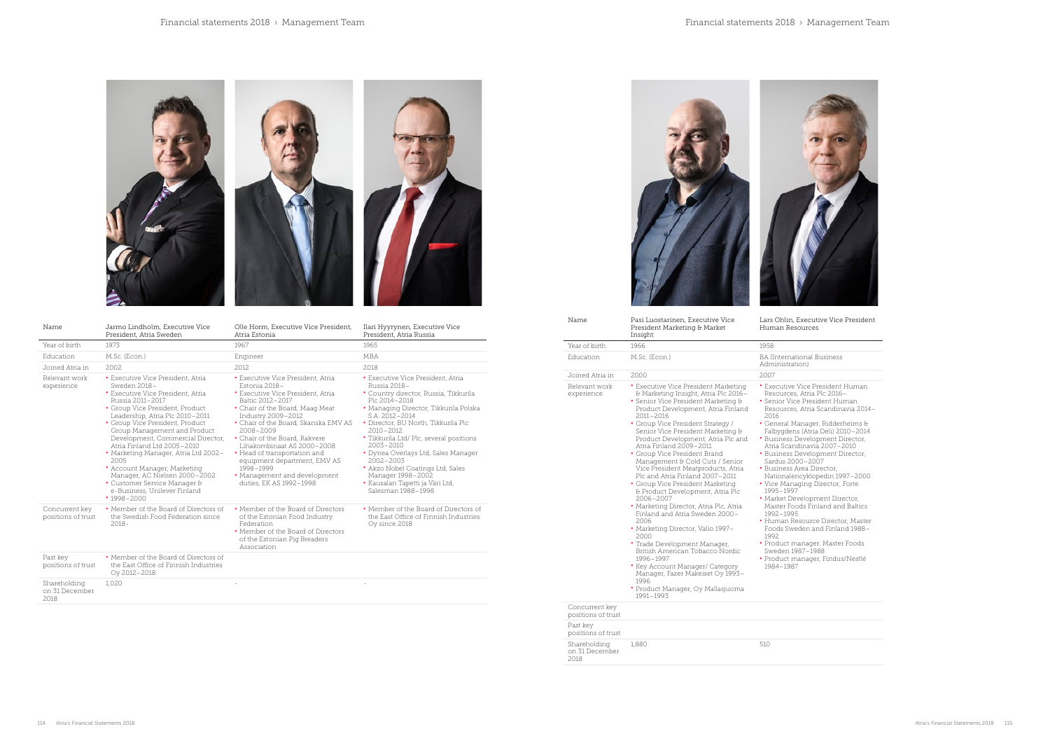





Lars Ohlin, Executive Vice President esources

• Executive Vice President Human Resources, Atria Plc 2016– • Senior Vice President Human es, Atria Scandinavia 2014–

• Product manager, Master Foods Sweden 1987–1988 • Product manager, Findus/Nestlé 37

| Name                                 | Pasi Luostarinen, Executive Vice<br>President Marketing & Market<br>Insight                                                                                                                                                                                                                                                                                                                                                                                                                                                                                                                                                                                                                                                                                                                                                                                                                          | Lars Ohlin, Executive Vice<br>Human Resources                                                                                                                                                                                                                                                                                                                                                                                                                                                                                                                                                                                                |
|--------------------------------------|------------------------------------------------------------------------------------------------------------------------------------------------------------------------------------------------------------------------------------------------------------------------------------------------------------------------------------------------------------------------------------------------------------------------------------------------------------------------------------------------------------------------------------------------------------------------------------------------------------------------------------------------------------------------------------------------------------------------------------------------------------------------------------------------------------------------------------------------------------------------------------------------------|----------------------------------------------------------------------------------------------------------------------------------------------------------------------------------------------------------------------------------------------------------------------------------------------------------------------------------------------------------------------------------------------------------------------------------------------------------------------------------------------------------------------------------------------------------------------------------------------------------------------------------------------|
| Year of birth                        | 1966                                                                                                                                                                                                                                                                                                                                                                                                                                                                                                                                                                                                                                                                                                                                                                                                                                                                                                 | 1958                                                                                                                                                                                                                                                                                                                                                                                                                                                                                                                                                                                                                                         |
| Education                            | M.Sc. (Econ.)                                                                                                                                                                                                                                                                                                                                                                                                                                                                                                                                                                                                                                                                                                                                                                                                                                                                                        | <b>BA</b> (International Business<br>Administration)                                                                                                                                                                                                                                                                                                                                                                                                                                                                                                                                                                                         |
| Joined Atria in                      | 2000                                                                                                                                                                                                                                                                                                                                                                                                                                                                                                                                                                                                                                                                                                                                                                                                                                                                                                 | 2007                                                                                                                                                                                                                                                                                                                                                                                                                                                                                                                                                                                                                                         |
| Relevant work<br>experience          | • Executive Vice President Marketing<br>& Marketing Insight, Atria Plc 2016-<br>• Senior Vice President Marketing &<br>Product Development, Atria Finland<br>2011-2016<br>• Group Vice President Strategy /<br>Senior Vice President Marketing &<br>Product Development, Atria Plc and<br>Atria Finland 2009-2011<br>• Group Vice President Brand<br>Management & Cold Cuts / Senior<br>Vice President Meatproducts, Atria<br>Plc and Atria Finland 2007–2011<br>• Group Vice President Marketing<br>& Product Development, Atria Plc<br>2006-2007<br>• Marketing Director, Atria Plc, Atria<br>Finland and Atria Sweden 2000-<br>2006<br>• Marketing Director, Valio 1997-<br>2000<br>• Trade Development Manager,<br>British American Tobacco Nordic<br>1996-1997<br>• Key Account Manager/ Category<br>Manager, Fazer Makeiset Oy 1993-<br>1996<br>• Product Manager, Oy Mallasjuoma<br>1991-1993 | • Executive Vice President I<br>Resources, Atria Plc 2016-<br>• Senior Vice President Hur<br>Resources, Atria Scandina<br>2016<br>• General Manager, Ridderh<br>Falbygdens (Atria Deli) 201<br>• Business Development Di<br>Atria Scandinavia 2007-2<br>• Business Development Di<br>Sardus 2000-2007<br>• Business Area Director,<br>Nationalencyklopedin 199<br>• Vice Managing Director, F<br>1995-1997<br>• Market Development Dire<br>Master Foods Finland and<br>1992-1995<br>• Human Resource Directo:<br>Foods Sweden and Finlan<br>1992<br>• Product manager, Master<br>Sweden 1987-1988<br>• Product manager, Findus,<br>1984-1987 |
| Concurrent key<br>positions of trust |                                                                                                                                                                                                                                                                                                                                                                                                                                                                                                                                                                                                                                                                                                                                                                                                                                                                                                      |                                                                                                                                                                                                                                                                                                                                                                                                                                                                                                                                                                                                                                              |
| Past key<br>positions of trust       |                                                                                                                                                                                                                                                                                                                                                                                                                                                                                                                                                                                                                                                                                                                                                                                                                                                                                                      |                                                                                                                                                                                                                                                                                                                                                                                                                                                                                                                                                                                                                                              |
| Shareholding<br>on 31 December       | 1,880                                                                                                                                                                                                                                                                                                                                                                                                                                                                                                                                                                                                                                                                                                                                                                                                                                                                                                | 510                                                                                                                                                                                                                                                                                                                                                                                                                                                                                                                                                                                                                                          |

• General Manager, Ridderheims & Falbygdens (Atria Deli) 2010–2014 • Business Development Director, Atria Scandinavia 2007–2010 • Business Development Director,

Sardus 2000–2007 • Business Area Director,

Nationalencyklopedin 1997–2000 • Vice Managing Director, Forte

• Market Development Director, Master Foods Finland and Baltics 1992–1995

• Human Resource Director, Master Foods Sweden and Finland 1988–

2018

| Name                                   | Jarmo Lindholm, Executive Vice<br>President, Atria Sweden                                                                                                                                                                                                                                                                                                                                                                                                                                                                   | Olle Horm, Executive Vice President,<br>Atria Estonia                                                                                                                                                                                                                                                                                                                                                                                | Ilari Hyyrynen, Executive Vice<br>President, Atria Russia                                                                                                                                                                                                                                                                                                                                                                                                        |
|----------------------------------------|-----------------------------------------------------------------------------------------------------------------------------------------------------------------------------------------------------------------------------------------------------------------------------------------------------------------------------------------------------------------------------------------------------------------------------------------------------------------------------------------------------------------------------|--------------------------------------------------------------------------------------------------------------------------------------------------------------------------------------------------------------------------------------------------------------------------------------------------------------------------------------------------------------------------------------------------------------------------------------|------------------------------------------------------------------------------------------------------------------------------------------------------------------------------------------------------------------------------------------------------------------------------------------------------------------------------------------------------------------------------------------------------------------------------------------------------------------|
| Year of birth                          | 1973                                                                                                                                                                                                                                                                                                                                                                                                                                                                                                                        | 1967                                                                                                                                                                                                                                                                                                                                                                                                                                 | 1965                                                                                                                                                                                                                                                                                                                                                                                                                                                             |
| Education                              | M.Sc. (Econ.)                                                                                                                                                                                                                                                                                                                                                                                                                                                                                                               | Engineer                                                                                                                                                                                                                                                                                                                                                                                                                             | <b>MBA</b>                                                                                                                                                                                                                                                                                                                                                                                                                                                       |
| Joined Atria in                        | 2002                                                                                                                                                                                                                                                                                                                                                                                                                                                                                                                        | 2.012                                                                                                                                                                                                                                                                                                                                                                                                                                | 2018                                                                                                                                                                                                                                                                                                                                                                                                                                                             |
| Relevant work<br>experience            | • Executive Vice President, Atria<br>Sweden 2018-<br>• Executive Vice President, Atria<br>Russia 2011-2017<br>• Group Vice President, Product<br>Leadership, Atria Plc 2010-2011<br>• Group Vice President, Product<br>Group Management and Product<br>Development, Commercial Director,<br>Atria Finland Ltd 2005-2010<br>• Marketing Manager, Atria Ltd 2002-<br>2005<br>• Account Manager, Marketing<br>Manager, AC Nielsen 2000-2002<br>• Customer Service Manager &<br>e-Business, Unilever Finland<br>$• 1998 - 2000$ | • Executive Vice President, Atria<br>Estonia 2018-<br>• Executive Vice President, Atria<br>Baltic 2012-2017<br>• Chair of the Board, Maag Meat<br>Industry 2009-2012<br>• Chair of the Board, Skanska EMV AS<br>$2008 - 2009$<br>• Chair of the Board, Rakvere<br>Lihakombinaat AS 2000-2008<br>• Head of transportation and<br>equipment department, EMV AS<br>1998-1999<br>• Management and development<br>duties, EK AS 1992-1998 | • Executive Vice President, Atria<br>Russia 2018-<br>· Country director, Russia, Tikkurila<br>Plc 2014-2018<br>· Managing Director, Tikkurila Polska<br>S.A. 2012-2014<br>• Director, BU North, Tikkurila Plc<br>$2010 - 2012$<br>• Tikkurila Ltd/ Plc, several positions<br>2003-2010<br>• Dynea Overlays Ltd, Sales Manager<br>$2002 - 2003$<br>• Akzo Nobel Coatings Ltd, Sales<br>Manager 1998-2002<br>• Kausalan Tapetti ja Väri Ltd,<br>Salesman 1988-1998 |
| Concurrent key<br>positions of trust   | • Member of the Board of Directors of<br>the Swedish Food Federation since<br>$2018 -$                                                                                                                                                                                                                                                                                                                                                                                                                                      | • Member of the Board of Directors<br>of the Estonian Food Industry<br>Federation<br>• Member of the Board of Directors<br>of the Estonian Pig Breaders<br>Association                                                                                                                                                                                                                                                               | • Member of the Board of Directors of<br>the East Office of Finnish Industries<br>Oy since 2018                                                                                                                                                                                                                                                                                                                                                                  |
| Past key<br>positions of trust         | • Member of the Board of Directors of<br>the East Office of Finnish Industries<br>Oy 2012-2018.                                                                                                                                                                                                                                                                                                                                                                                                                             |                                                                                                                                                                                                                                                                                                                                                                                                                                      |                                                                                                                                                                                                                                                                                                                                                                                                                                                                  |
| Shareholding<br>on 31 December<br>2018 | 1,020                                                                                                                                                                                                                                                                                                                                                                                                                                                                                                                       |                                                                                                                                                                                                                                                                                                                                                                                                                                      |                                                                                                                                                                                                                                                                                                                                                                                                                                                                  |



114 Atria's Financial Statements 2018 Atria's Financial Statements 2018 115

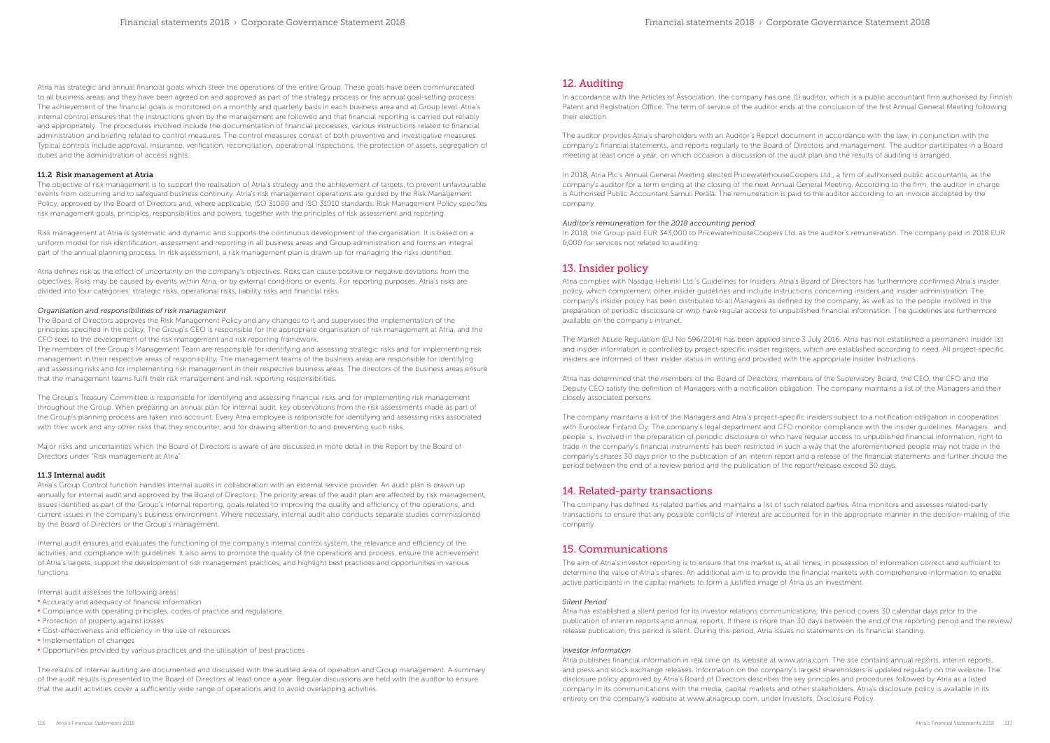Atria has strategic and annual financial goals which steer the operations of the entire Group. These goals have been communicated to all business areas, and they have been agreed on and approved as part of the strategy process or the annual goal-setting process. The achievement of the financial goals is monitored on a monthly and quarterly basis in each business area and at Group level. Atria's internal control ensures that the instructions given by the management are followed and that financial reporting is carried out reliably and appropriately. The procedures involved include the documentation of financial processes, various instructions related to financial administration and briefing related to control measures. The control measures consist of both preventive and investigative measures. Typical controls include approval, insurance, verification, reconciliation, operational inspections, the protection of assets, segregation of duties and the administration of access rights..

#### 11.2 Risk management at Atria

The objective of risk management is to support the realisation of Atria's strategy and the achievement of targets, to prevent unfavourable events from occurring and to safeguard business continuity. Atria's risk management operations are guided by the Risk Management Policy, approved by the Board of Directors and, where applicable, ISO 31000 and ISO 31010 standards. Risk Management Policy specifies risk management goals, principles, responsibilities and powers, together with the principles of risk assessment and reporting.

Risk management at Atria is systematic and dynamic and supports the continuous development of the organisation. It is based on a uniform model for risk identification, assessment and reporting in all business areas and Group administration and forms an integral part of the annual planning process. In risk assessment, a risk management plan is drawn up for managing the risks identified.

Atria defines risk as the effect of uncertainty on the company's objectives. Risks can cause positive or negative deviations from the objectives. Risks may be caused by events within Atria, or by external conditions or events. For reporting purposes, Atria's risks are divided into four categories: strategic risks, operational risks, liability risks and financial risks.

#### *Organisation and responsibilities of risk management*

The Board of Directors approves the Risk Management Policy and any changes to it and supervises the implementation of the principles specified in the policy. The Group's CEO is responsible for the appropriate organisation of risk management at Atria, and the CFO sees to the development of the risk management and risk reporting framework.

The members of the Group's Management Team are responsible for identifying and assessing strategic risks and for implementing risk management in their respective areas of responsibility. The management teams of the business areas are responsible for identifying and assessing risks and for implementing risk management in their respective business areas. The directors of the business areas ensure that the management teams fulfil their risk management and risk reporting responsibilities.

The Group's Treasury Committee is responsible for identifying and assessing financial risks and for implementing risk management throughout the Group. When preparing an annual plan for internal audit, key observations from the risk assessments made as part of the Group's planning process are taken into account. Every Atria employee is responsible for identifying and assessing risks associated with their work and any other risks that they encounter, and for drawing attention to and preventing such risks.

Major risks and uncertainties which the Board of Directors is aware of are discussed in more detail in the Report by the Board of Directors under "Risk management at Atria".

#### 11.3 Internal audit

Atria's Group Control function handles internal audits in collaboration with an external service provider. An audit plan is drawn up annually for internal audit and approved by the Board of Directors. The priority areas of the audit plan are affected by risk management, issues identified as part of the Group's internal reporting, goals related to improving the quality and efficiency of the operations, and current issues in the company's business environment. Where necessary, internal audit also conducts separate studies commissioned by the Board of Directors or the Group's management.

Internal audit ensures and evaluates the functioning of the company's internal control system, the relevance and efficiency of the activities, and compliance with guidelines. It also aims to promote the quality of the operations and process, ensure the achievement of Atria's targets, support the development of risk management practices, and highlight best practices and opportunities in various functions.

Internal audit assesses the following areas:

- Accuracy and adequacy of financial information
- Compliance with operating principles, codes of practice and regulations
- Protection of property against losses
- Cost-effectiveness and efficiency in the use of resources
- Implementation of changes
- Opportunities provided by various practices and the utilisation of best practices

The results of internal auditing are documented and discussed with the audited area of operation and Group management. A summary of the audit results is presented to the Board of Directors at least once a year. Regular discussions are held with the auditor to ensure that the audit activities cover a sufficiently wide range of operations and to avoid overlapping activities.

## 12. Auditing

In accordance with the Articles of Association, the company has one (1) auditor, which is a public accountant firm authorised by Finnish Patent and Registration Office. The term of service of the auditor ends at the conclusion of the first Annual General Meeting following their election.

The auditor provides Atria's shareholders with an Auditor's Report document in accordance with the law, in conjunction with the company's financial statements, and reports regularly to the Board of Directors and management. The auditor participates in a Board meeting at least once a year, on which occasion a discussion of the audit plan and the results of auditing is arranged.

In 2018, Atria Plc's Annual General Meeting elected PricewaterhouseCoopers Ltd., a firm of authorised public accountants, as the company's auditor for a term ending at the closing of the next Annual General Meeting. According to the firm, the auditor in charge is Authorised Public Accountant Samuli Perälä. The remuneration is paid to the auditor according to an invoice accepted by the company.

### *Auditor's remuneration for the 2018 accounting period*

In 2018, the Group paid EUR 343,000 to PricewaterhouseCoopers Ltd. as the auditor's remuneration. The company paid in 2018 EUR 6,000 for services not related to auditing.

## 13. Insider policy

Atria complies with Nasdaq Helsinki Ltd.'s Guidelines for Insiders. Atria's Board of Directors has furthermore confirmed Atria's insider policy, which complement other insider guidelines and include instructions concerning insiders and insider administration. The company's insider policy has been distributed to all Managers as defined by the company, as well as to the people involved in the preparation of periodic disclosure or who have regular access to unpublished financial information. The guidelines are furthermore available on the company's intranet.

The Market Abuse Regulation (EU No 596/2014) has been applied since 3 July 2016. Atria has not established a permanent insider list and insider information is controlled by project-specific insider registers, which are established according to need. All project-specific insiders are informed of their insider status in writing and provided with the appropriate insider instructions.

Atria has determined that the members of the Board of Directors, members of the Supervisory Board, the CEO, the CFO and the Deputy CEO satisfy the definition of Managers with a notification obligation. The company maintains a list of the Managers and their closely associated persons.

The company maintains a list of the Managers and Atria's project-specific insiders subject to a notification obligation in cooperation with Euroclear Finland Oy. The company's legal department and CFO monitor compliance with the insider guidelines. Managers` and people`s, involved in the preparation of periodic disclosure or who have regular access to unpublished financial information, right to trade in the company's financial instruments has been restricted in such a way that the aforementioned people may not trade in the company's shares 30 days prior to the publication of an interim report and a release of the financial statements and further should the period between the end of a review period and the publication of the report/release exceed 30 days.

## 14. Related-party transactions

The company has defined its related parties and maintains a list of such related parties. Atria monitors and assesses related-party transactions to ensure that any possible conflicts of interest are accounted for in the appropriate manner in the decision-making of the company.

## 15. Communications

The aim of Atria's investor reporting is to ensure that the market is, at all times, in possession of information correct and sufficient to determine the value of Atria's shares. An additional aim is to provide the financial markets with comprehensive information to enable active participants in the capital markets to form a justified image of Atria as an investment.

#### *Silent Period*

Atria has established a silent period for its investor relations communications; this period covers 30 calendar days prior to the publication of interim reports and annual reports. If there is more than 30 days between the end of the reporting period and the review/ release publication, this period is silent. During this period, Atria issues no statements on its financial standing.

#### *Investor information*

Atria publishes financial information in real time on its website at www.atria.com. The site contains annual reports, interim reports, and press and stock exchange releases. Information on the company's largest shareholders is updated regularly on the website. The disclosure policy approved by Atria's Board of Directors describes the key principles and procedures followed by Atria as a listed company in its communications with the media, capital markets and other stakeholders. Atria's disclosure policy is available in its entirety on the company's website at www.atriagroup.com, under Investors, Disclosure Policy.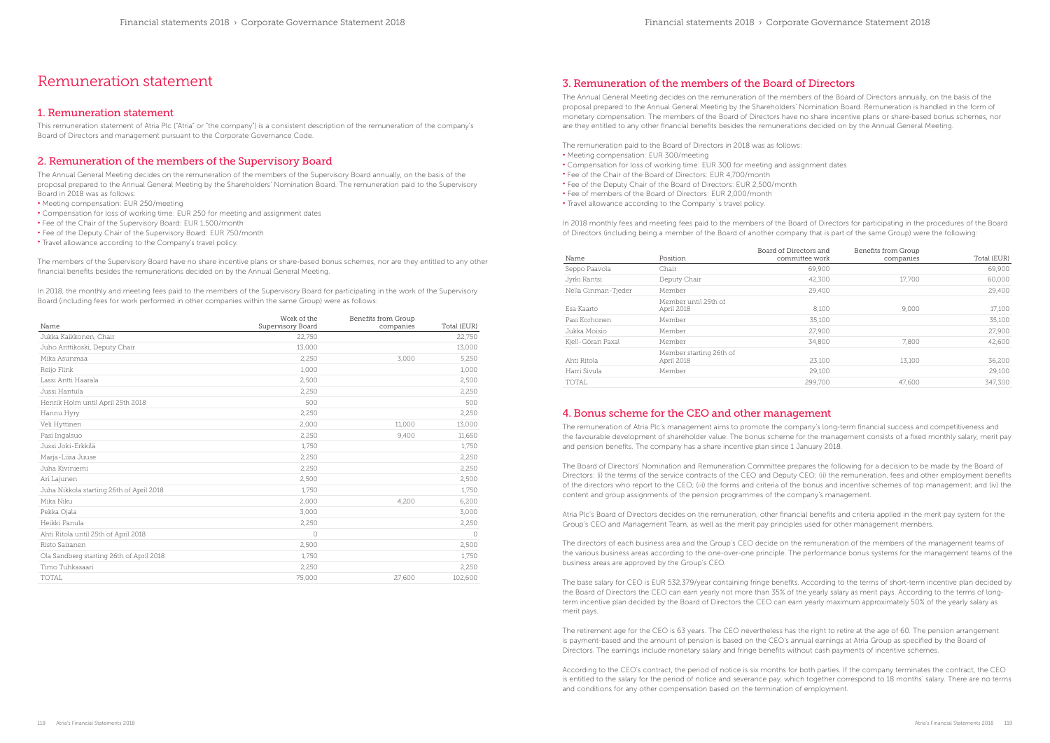# Remuneration statement

## 1. Remuneration statement

This remuneration statement of Atria Plc ("Atria" or "the company") is a consistent description of the remuneration of the company's Board of Directors and management pursuant to the Corporate Governance Code.

## 2. Remuneration of the members of the Supervisory Board

The Annual General Meeting decides on the remuneration of the members of the Supervisory Board annually, on the basis of the proposal prepared to the Annual General Meeting by the Shareholders' Nomination Board. The remuneration paid to the Supervisory Board in 2018 was as follows:

In 2018, the monthly and meeting fees paid to the members of the Supervisory Board for participating in the work of the Supervisory Board (including fees for work performed in other companies within the same Group) were as follows:

- Meeting compensation: EUR 250/meeting
- Compensation for loss of working time: EUR 250 for meeting and assignment dates
- Fee of the Chair of the Supervisory Board: EUR 1,500/month
- Fee of the Deputy Chair of the Supervisory Board: EUR 750/month
- Travel allowance according to the Company's travel policy.

The members of the Supervisory Board have no share incentive plans or share-based bonus schemes, nor are they entitled to any other financial benefits besides the remunerations decided on by the Annual General Meeting.

| Name                                     | Work of the<br>Supervisory Board | Benefits from Group<br>companies | Total (EUR) |
|------------------------------------------|----------------------------------|----------------------------------|-------------|
| Jukka Kaikkonen, Chair                   | 22,750                           |                                  | 22,750      |
| Juho Anttikoski, Deputy Chair            | 13,000                           |                                  | 13,000      |
| Mika Asunmaa                             | 2,250                            | 3,000                            | 5,250       |
| Reijo Flink                              | 1,000                            |                                  | 1,000       |
| Lassi Antti Haarala                      | 2,500                            |                                  | 2,500       |
| Jussi Hantula                            | 2,250                            |                                  | 2,250       |
| Henrik Holm until April 25th 2018        | 500                              |                                  | 500         |
| Hannu Hyry                               | 2,250                            |                                  | 2,250       |
| Veli Hyttinen                            | 2,000                            | 11,000                           | 13,000      |
| Pasi Ingalsuo                            | 2,250                            | 9,400                            | 11,650      |
| Jussi Joki-Erkkilä                       | 1,750                            |                                  | 1,750       |
| Marja-Liisa Juuse                        | 2,250                            |                                  | 2,250       |
| Juha Kiviniemi                           | 2,250                            |                                  | 2,250       |
| Ari Lajunen                              | 2,500                            |                                  | 2,500       |
| Juha Nikkola starting 26th of April 2018 | 1,750                            |                                  | 1,750       |
| Mika Niku                                | 2,000                            | 4,200                            | 6,200       |
| Pekka Ojala                              | 3,000                            |                                  | 3,000       |
| Heikki Panula                            | 2,250                            |                                  | 2,250       |
| Ahti Ritola until 25th of April 2018     | $\circ$                          |                                  | O           |
| Risto Sairanen                           | 2,500                            |                                  | 2,500       |
| Ola Sandberg starting 26th of April 2018 | 1,750                            |                                  | 1,750       |
| Timo Tuhkasaari                          | 2,250                            |                                  | 2,250       |
| TOTAL                                    | 75,000                           | 27,600                           | 102,600     |

## 3. Remuneration of the members of the Board of Directors

The Annual General Meeting decides on the remuneration of the members of the Board of Directors annually, on the basis of the proposal prepared to the Annual General Meeting by the Shareholders' Nomination Board. Remuneration is handled in the form of monetary compensation. The members of the Board of Directors have no share incentive plans or share-based bonus schemes, nor are they entitled to any other financial benefits besides the remunerations decided on by the Annual General Meeting.

The remuneration paid to the Board of Directors in 2018 was as follows: • Meeting compensation: EUR 300/meeting

- Compensation for loss of working time: EUR 300 for meeting and assignment dates
- Fee of the Chair of the Board of Directors: EUR 4,700/month
- Fee of the Deputy Chair of the Board of Directors: EUR 2,500/month
- Fee of members of the Board of Directors: EUR 2,000/month
- Travel allowance according to the Company`s travel policy.

In 2018 monthly fees and meeting fees paid to the members of the Board of Directors for participating in the procedures of the Board of Directors (including being a member of the Board of another company that is part of the same Group) were the following:

| Name                | Position                              | Board of Directors and<br>committee work | Benefits from Group<br>companies | Total (EUR) |
|---------------------|---------------------------------------|------------------------------------------|----------------------------------|-------------|
| Seppo Paavola       | Chair                                 | 69,900                                   |                                  | 69,900      |
| Jyrki Rantsi        | Deputy Chair                          | 42,300                                   | 17,700                           | 60,000      |
| Nella Ginman-Tjeder | Member                                | 29,400                                   |                                  | 29,400      |
| Esa Kaarto          | Member until 25th of<br>April 2018    | 8,100                                    | 9,000                            | 17,100      |
| Pasi Korhonen       | Member                                | 35,100                                   |                                  | 35,100      |
| Jukka Moisio        | Member                                | 27,900                                   |                                  | 27,900      |
| Kjell-Göran Paxal   | Member                                | 34,800                                   | 7.800                            | 42.600      |
| Ahti Ritola         | Member starting 26th of<br>April 2018 | 23.100                                   | 13,100                           | 36,200      |
| Harri Sivula        | Member                                | 29,100                                   |                                  | 29,100      |
| TOTAL               |                                       | 299,700                                  | 47.600                           | 347,300     |

## 4. Bonus scheme for the CEO and other management

The remuneration of Atria Plc's management aims to promote the company's long-term financial success and competitiveness and the favourable development of shareholder value. The bonus scheme for the management consists of a fixed monthly salary, merit pay and pension benefits. The company has a share incentive plan since 1 January 2018.

The Board of Directors' Nomination and Remuneration Committee prepares the following for a decision to be made by the Board of Directors: (i) the terms of the service contracts of the CEO and Deputy CEO; (ii) the remuneration, fees and other employment benefits of the directors who report to the CEO; (iii) the forms and criteria of the bonus and incentive schemes of top management; and (iv) the content and group assignments of the pension programmes of the company's management.

Atria Plc's Board of Directors decides on the remuneration, other financial benefits and criteria applied in the merit pay system for the Group's CEO and Management Team, as well as the merit pay principles used for other management members.

The directors of each business area and the Group's CEO decide on the remuneration of the members of the management teams of the various business areas according to the one-over-one principle. The performance bonus systems for the management teams of the business areas are approved by the Group's CEO.

The base salary for CEO is EUR 532,379/year containing fringe benefits. According to the terms of short-term incentive plan decided by the Board of Directors the CEO can earn yearly not more than 35% of the yearly salary as merit pays. According to the terms of longterm incentive plan decided by the Board of Directors the CEO can earn yearly maximum approximately 50% of the yearly salary as merit pays.

The retirement age for the CEO is 63 years. The CEO nevertheless has the right to retire at the age of 60. The pension arrangement is payment-based and the amount of pension is based on the CEO's annual earnings at Atria Group as specified by the Board of Directors. The earnings include monetary salary and fringe benefits without cash payments of incentive schemes.

According to the CEO's contract, the period of notice is six months for both parties. If the company terminates the contract, the CEO is entitled to the salary for the period of notice and severance pay, which together correspond to 18 months' salary. There are no terms and conditions for any other compensation based on the termination of employment.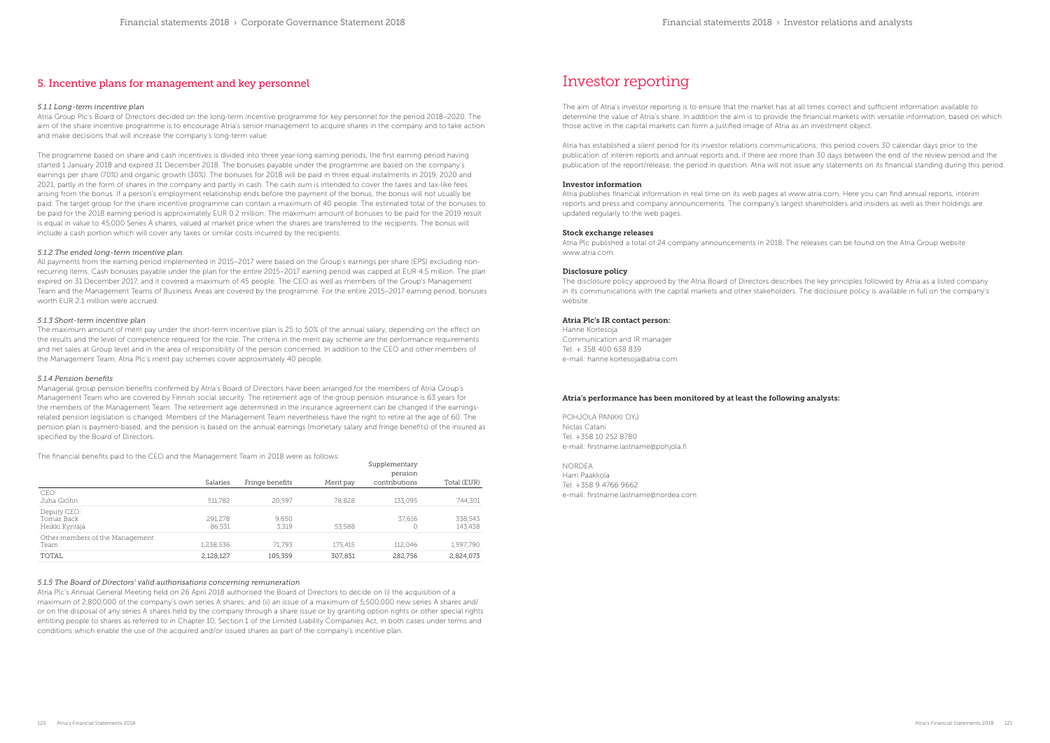## 5. Incentive plans for management and key personnel

#### *5.1.1 Long-term incentive plan*

Atria Group Plc's Board of Directors decided on the long-term incentive programme for key personnel for the period 2018–2020. The aim of the share incentive programme is to encourage Atria's senior management to acquire shares in the company and to take action and make decisions that will increase the company's long-term value.

The programme based on share and cash incentives is divided into three year-long earning periods, the first earning period having started 1 January 2018 and expired 31 December 2018. The bonuses payable under the programme are based on the company's earnings per share (70%) and organic growth (30%). The bonuses for 2018 will be paid in three equal instalments in 2019, 2020 and 2021, partly in the form of shares in the company and partly in cash. The cash sum is intended to cover the taxes and tax-like fees arising from the bonus. If a person's employment relationship ends before the payment of the bonus, the bonus will not usually be paid. The target group for the share incentive programme can contain a maximum of 40 people. The estimated total of the bonuses to be paid for the 2018 earning period is approximately EUR 0.2 million. The maximum amount of bonuses to be paid for the 2019 result is equal in value to 45,000 Series A shares, valued at market price when the shares are transferred to the recipients. The bonus will include a cash portion which will cover any taxes or similar costs incurred by the recipients.

Managerial group pension benefits confirmed by Atria's Board of Directors have been arranged for the members of Atria Group's Management Team who are covered by Finnish social security. The retirement age of the group pension insurance is 63 years for the members of the Management Team. The retirement age determined in the insurance agreement can be changed if the earningsrelated pension legislation is changed. Members of the Management Team nevertheless have the right to retire at the age of 60. The pension plan is payment-based, and the pension is based on the annual earnings (monetary salary and fringe benefits) of the insured as specified by the Board of Directors.

#### *5.1.2 The ended long-term incentive plan*

All payments from the earning period implemented in 2015–2017 were based on the Group's earnings per share (EPS) excluding nonrecurring items. Cash bonuses payable under the plan for the entire 2015–2017 earning period was capped at EUR 4.5 million. The plan expired on 31 December 2017, and it covered a maximum of 45 people. The CEO as well as members of the Group's Management Team and the Management Teams of Business Areas are covered by the programme. For the entire 2015–2017 earning period, bonuses worth EUR 2.1 million were accrued.

#### *5.1.3 Short-term incentive plan*

The maximum amount of merit pay under the short-term incentive plan is 25 to 50% of the annual salary, depending on the effect on the results and the level of competence required for the role. The criteria in the merit pay scheme are the performance requirements and net sales at Group level and in the area of responsibility of the person concerned. In addition to the CEO and other members of the Management Team, Atria Plc's merit pay schemes cover approximately 40 people.

### *5.1.4 Pension benefits*

The financial benefits paid to the CEO and the Management Team in 2018 were as follows:

|                                 |           |                 |           | Supplementary |             |
|---------------------------------|-----------|-----------------|-----------|---------------|-------------|
|                                 |           |                 |           | pension       |             |
|                                 | Salaries  | Fringe benefits | Merit pay | contributions | Total (EUR) |
| CEO                             |           |                 |           |               |             |
| Juha Gröhn                      | 511,782   | 20,597          | 78,828    | 133,095       | 744,301     |
| Deputy CEO:                     |           |                 |           |               |             |
| Tomas Back                      | 291,278   | 9,650           |           | 37,616        | 338,543     |
| Heikki Kyntäjä                  | 86.531    | 3.319           | 53,588    |               | 143,438     |
| Other members of the Management |           |                 |           |               |             |
| Team                            | 1,238,536 | 71.793          | 175,415   | 112.046       | 1,597,790   |
| TOTAL                           | 2,128,127 | 105,359         | 307,831   | 282.756       | 2,824,073   |

### *5.1.5 The Board of Directors' valid authorisations concerning remuneration*

Atria Plc's Annual General Meeting held on 26 April 2018 authorised the Board of Directors to decide on (i) the acquisition of a maximum of 2,800,000 of the company's own series A shares; and (ii) an issue of a maximum of 5,500,000 new series A shares and/ or on the disposal of any series A shares held by the company through a share issue or by granting option rights or other special rights entitling people to shares as referred to in Chapter 10, Section 1 of the Limited Liability Companies Act, in both cases under terms and conditions which enable the use of the acquired and/or issued shares as part of the company's incentive plan.

# Investor reporting

The aim of Atria's investor reporting is to ensure that the market has at all times correct and sufficient information available to determine the value of Atria's share. In addition the aim is to provide the financial markets with versatile information, based on which those active in the capital markets can form a justified image of Atria as an investment object.

Atria has established a silent period for its investor relations communications; this period covers 30 calendar days prior to the publication of interim reports and annual reports and, if there are more than 30 days between the end of the review period and the publication of the report/release, the period in question. Atria will not issue any statements on its financial standing during this period.

#### Investor information

Atria publishes financial information in real time on its web pages at www.atria.com. Here you can find annual reports, interim reports and press and company announcements. The company's largest shareholders and insiders as well as their holdings are updated regularly to the web pages.

#### Stock exchange releases

Atria Plc published a total of 24 company announcements in 2018. The releases can be found on the Atria Group website www.atria.com.

#### Disclosure policy

The disclosure policy approved by the Atria Board of Directors describes the key principles followed by Atria as a listed company in its communications with the capital markets and other stakeholders. The disclosure policy is available in full on the company's website.

#### Atria Plc's IR contact person:

Hanne Kortesoja Communication and IR manager Tel: + 358 400 638 839 e-mail: hanne.kortesoja@atria.com

POHJOLA PANKKI OYJ Niclas Catani Tel. +358 10 252 8780 e-mail: firstname.lastname@pohjola.fi

NORDEA Harri Paakkola Tel. +358 9 4766 9662 e-mail: firstname.lastname@nordea.com

### Atria's performance has been monitored by at least the following analysts: